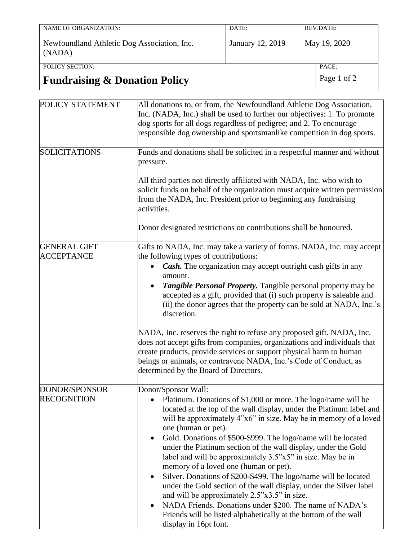| NAME OF ORGANIZATION:                       | DATE:            | REV.DATE:    |
|---------------------------------------------|------------------|--------------|
|                                             |                  |              |
|                                             |                  |              |
|                                             |                  |              |
| Newfoundland Athletic Dog Association, Inc. | January 12, 2019 | May 19, 2020 |
| (NADA)                                      |                  |              |
|                                             |                  |              |
|                                             |                  |              |
| POLICY SECTION:                             |                  | PAGE:        |
|                                             |                  |              |

## **Fundraising & Donation Policy** Page 1 of 2

| POLICY STATEMENT                         | All donations to, or from, the Newfoundland Athletic Dog Association,<br>Inc. (NADA, Inc.) shall be used to further our objectives: 1. To promote<br>dog sports for all dogs regardless of pedigree; and 2. To encourage<br>responsible dog ownership and sportsmanlike competition in dog sports.                                                                                                                                                                                                                                                                                                                                                                                                                                                                                                                                                                  |
|------------------------------------------|---------------------------------------------------------------------------------------------------------------------------------------------------------------------------------------------------------------------------------------------------------------------------------------------------------------------------------------------------------------------------------------------------------------------------------------------------------------------------------------------------------------------------------------------------------------------------------------------------------------------------------------------------------------------------------------------------------------------------------------------------------------------------------------------------------------------------------------------------------------------|
| <b>SOLICITATIONS</b>                     | Funds and donations shall be solicited in a respectful manner and without<br>pressure.<br>All third parties not directly affiliated with NADA, Inc. who wish to<br>solicit funds on behalf of the organization must acquire written permission<br>from the NADA, Inc. President prior to beginning any fundraising<br>activities.<br>Donor designated restrictions on contributions shall be honoured.                                                                                                                                                                                                                                                                                                                                                                                                                                                              |
| <b>GENERAL GIFT</b><br><b>ACCEPTANCE</b> | Gifts to NADA, Inc. may take a variety of forms. NADA, Inc. may accept<br>the following types of contributions:<br>Cash. The organization may accept outright cash gifts in any<br>amount.<br>Tangible Personal Property. Tangible personal property may be<br>accepted as a gift, provided that (i) such property is saleable and<br>(ii) the donor agrees that the property can be sold at NADA, Inc.'s<br>discretion.<br>NADA, Inc. reserves the right to refuse any proposed gift. NADA, Inc.<br>does not accept gifts from companies, organizations and individuals that<br>create products, provide services or support physical harm to human<br>beings or animals, or contravene NADA, Inc.'s Code of Conduct, as<br>determined by the Board of Directors.                                                                                                  |
| DONOR/SPONSOR<br><b>RECOGNITION</b>      | Donor/Sponsor Wall:<br>Platinum. Donations of \$1,000 or more. The logo/name will be<br>located at the top of the wall display, under the Platinum label and<br>will be approximately 4"x6" in size. May be in memory of a loved<br>one (human or pet).<br>Gold. Donations of \$500-\$999. The logo/name will be located<br>٠<br>under the Platinum section of the wall display, under the Gold<br>label and will be approximately 3.5"x5" in size. May be in<br>memory of a loved one (human or pet).<br>Silver. Donations of \$200-\$499. The logo/name will be located<br>under the Gold section of the wall display, under the Silver label<br>and will be approximately 2.5"x3.5" in size.<br>NADA Friends. Donations under \$200. The name of NADA's<br>$\bullet$<br>Friends will be listed alphabetically at the bottom of the wall<br>display in 16pt font. |